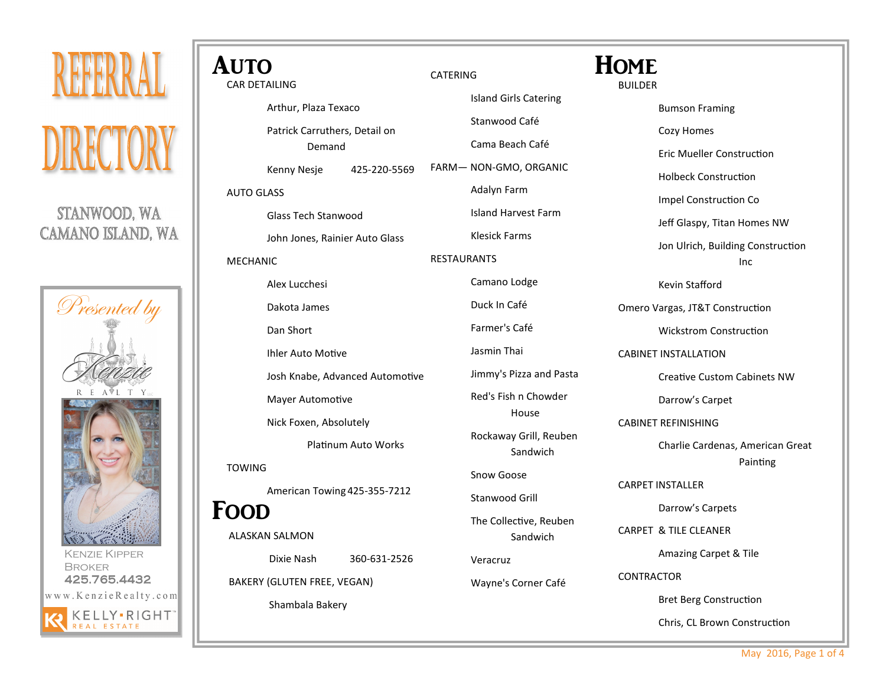

STANWOOD, WA **CAMANO ISLAND, WA** 



Broker 425.765.4432 www.KenzieRealty.com KELLY.RIGHT

| <b>AUTO</b>                 |                                 |                     |                 |                          |
|-----------------------------|---------------------------------|---------------------|-----------------|--------------------------|
| <b>CAR DETAILING</b>        |                                 |                     | CATERING        |                          |
|                             | Arthur, Plaza Texaco            |                     |                 | <b>Island Girls Cate</b> |
|                             | Patrick Carruthers, Detail on   |                     | Stanwood Café   |                          |
|                             | Demand                          |                     |                 | Cama Beach Ca            |
|                             | Kenny Nesje                     | 425-220-5569        |                 | FARM-NON-GMO, OR         |
| <b>AUTO GLASS</b>           |                                 |                     |                 | Adalyn Farm              |
| <b>Glass Tech Stanwood</b>  |                                 |                     |                 | <b>Island Harvest F</b>  |
|                             | John Jones, Rainier Auto Glass  |                     |                 | Klesick Farms            |
| <b>MECHANIC</b>             |                                 |                     | RESTAURANTS     |                          |
|                             | Alex Lucchesi                   |                     |                 | Camano Lodge             |
|                             | Dakota James                    |                     |                 | Duck In Café             |
|                             | Dan Short                       |                     |                 | Farmer's Café            |
|                             | Ihler Auto Motive               |                     | Jasmin Thai     |                          |
|                             | Josh Knabe, Advanced Automotive |                     | Jimmy's Pizza a |                          |
|                             | Mayer Automotive                |                     |                 | Red's Fish n Cho         |
|                             | Nick Foxen, Absolutely          |                     |                 | House                    |
|                             |                                 | Platinum Auto Works |                 | Rockaway Grill,<br>Sandw |
| <b>TOWING</b>               |                                 |                     |                 | Snow Goose               |
|                             | American Towing 425-355-7212    |                     |                 | Stanwood Grill           |
| FOOD                        |                                 |                     |                 | The Collective,          |
|                             | ALASKAN SALMON                  |                     |                 | Sandw                    |
|                             | Dixie Nash                      | 360-631-2526        |                 | Veracruz                 |
| BAKERY (GLUTEN FREE, VEGAN) |                                 | Wayne's Corner      |                 |                          |
|                             | Shambala Bakery                 |                     |                 |                          |
|                             |                                 |                     |                 |                          |

BUILDER Bumson Framing Cozy Homes Eric Mueller Construction Holbeck Construction Impel Construction Co Jeff Glaspy, Titan Homes NW Jon Ulrich, Building Construction Kevin Stafford Omero Vargas, JT&T Construction Wickstrom Construction CABINET INSTALLATION Creative Custom Cabinets NW Darrow's Carpet CABINET REFINISHING Charlie Cardenas, American Great CARPET INSTALLER Darrow's Carpets CARPET & TILE CLEANER Amazing Carpet & Tile CONTRACTOR Bret Berg Construction **HOME** Catering า Café **ORGANIC** est Farm za and Pasta Chowder irill, Reuben ndwich ve, Reuben ndwich rner Café

May 2016, Page 1 of 4

Inc

Painting

Chris, CL Brown Construction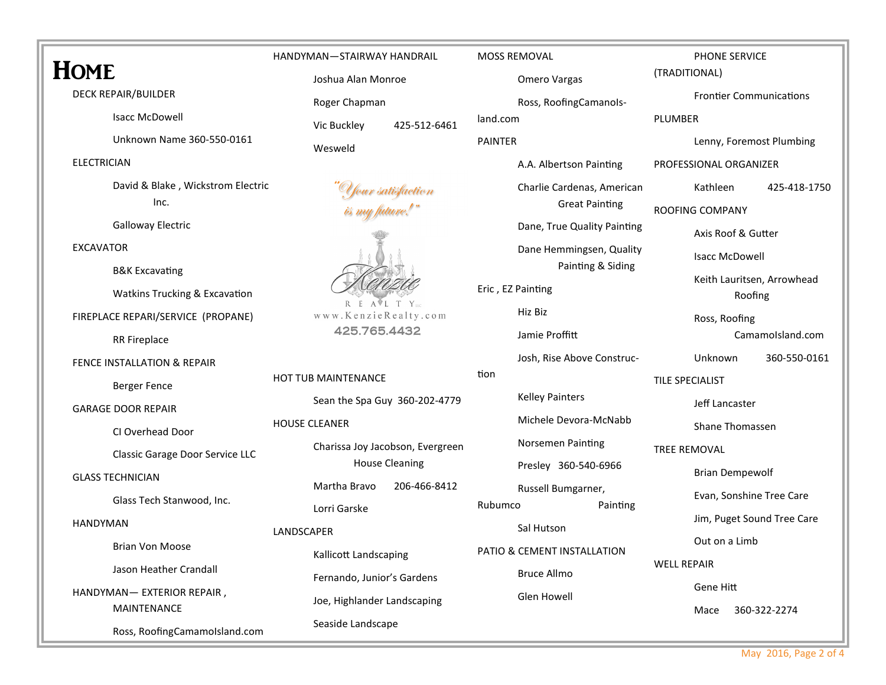# HOME

**DECK REPAIR/BUILDER** 

**Isacc McDowell** 

Unknown Name 360-550-0161

## **FIFCTRICIAN**

David & Blake, Wickstrom Electric  $Inc.$ 

**Galloway Electric** 

**FXCAVATOR** 

**B&K Excavating** 

Watkins Trucking & Excavation

FIREPLACE REPARI/SERVICE (PROPANE)

**RR Fireplace** 

FENCE INSTALLATION & REPAIR

**Berger Fence** 

**GARAGE DOOR REPAIR** 

CLOverhead Door

Classic Garage Door Service LLC

**GLASS TECHNICIAN** 

Glass Tech Stanwood, Inc.

### **HANDYMAN**

**Brian Von Moose** 

Jason Heather Crandall

HANDYMAN- EXTERIOR REPAIR, **MAINTENANCE** 

Ross, RoofingCamamoIsland.com

HANDYMAN-STAIRWAY HANDRAIL Joshua Alan Monroe

Roger Chapman

Vic Buckley 425-512-6461

Wesweld





HOT TUB MAINTENANCE Sean the Spa Guy 360-202-4779 **HOUSE CLEANER** Charissa Joy Jacobson, Evergreen House Cleaning Martha Bravo 206-466-8412

Lorri Garske

# **I ANDSCAPER**

Kallicott Landscaping Fernando, Junior's Gardens Joe, Highlander Landscaping Seaside Landscape

MOSS REMOVAL

Omero Vargas

Ross, RoofingCamanols-

land.com

**PAINTFR** 

A.A. Albertson Painting

Charlie Cardenas, American **Great Painting** 

Dane, True Quality Painting

Dane Hemmingsen, Quality Painting & Siding

Eric, EZ Painting

Hiz Biz

Jamie Proffitt Josh. Rise Above Construc-

tion

**Kelley Painters** 

Michele Devora-McNabb

Norsemen Painting

Presley 360-540-6966 Russell Bumgarner,

Rubumco Painting

Sal Hutson

PATIO & CEMENT INSTALLATION **Bruce Allmo** 

**Glen Howell** 

PHONE SERVICE

(TRADITIONAL)

**Frontier Communications** 

**PI UMBER** 

Lenny, Foremost Plumbing

PROFESSIONAL ORGANIZER

Kathleen 425-418-1750

**ROOFING COMPANY** 

Axis Roof & Gutter

**Isacc McDowell** 

Keith Lauritsen, Arrowhead Roofing

Ross, Roofing

CamamoIsland.com

Unknown 360-550-0161

**TILE SPECIALIST** 

Jeff Lancaster

Shane Thomassen

**TRFF RFMOVAL** 

**Brian Dempewolf** 

Evan, Sonshine Tree Care

Jim, Puget Sound Tree Care

Out on a Limb

**WELL REPAIR** 

Gene Hitt

Mace 360-322-2274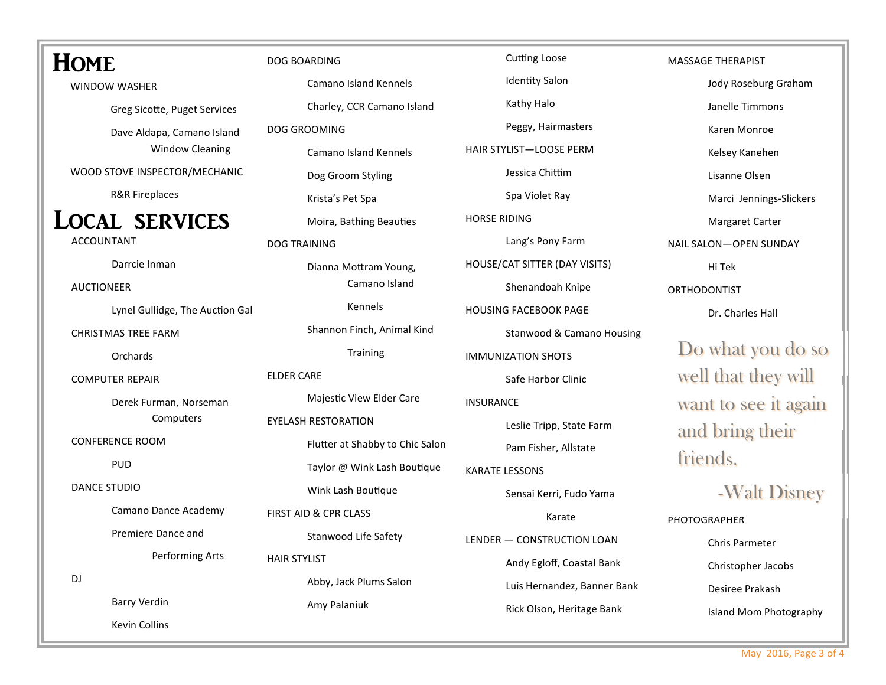| <b>HOME</b>                     | DOG BOARDING                    | <b>Cutting Loose</b>          | <b>MASSAGE THERAPIST</b> |
|---------------------------------|---------------------------------|-------------------------------|--------------------------|
| <b>WINDOW WASHER</b>            | Camano Island Kennels           | <b>Identity Salon</b>         | Jody Roseburg Graham     |
| Greg Sicotte, Puget Services    | Charley, CCR Camano Island      | Kathy Halo                    | Janelle Timmons          |
| Dave Aldapa, Camano Island      | DOG GROOMING                    | Peggy, Hairmasters            | Karen Monroe             |
| <b>Window Cleaning</b>          | <b>Camano Island Kennels</b>    | HAIR STYLIST-LOOSE PERM       | Kelsey Kanehen           |
| WOOD STOVE INSPECTOR/MECHANIC   | Dog Groom Styling               | Jessica Chittim               | Lisanne Olsen            |
| <b>R&amp;R Fireplaces</b>       | Krista's Pet Spa                | Spa Violet Ray                | Marci Jennings-Slickers  |
| <b>LOCAL SERVICES</b>           | Moira, Bathing Beauties         | <b>HORSE RIDING</b>           | Margaret Carter          |
| <b>ACCOUNTANT</b>               | <b>DOG TRAINING</b>             | Lang's Pony Farm              | NAIL SALON-OPEN SUNDAY   |
| Darrcie Inman                   | Dianna Mottram Young,           | HOUSE/CAT SITTER (DAY VISITS) | Hi Tek                   |
| <b>AUCTIONEER</b>               | Camano Island                   | Shenandoah Knipe              | ORTHODONTIST             |
| Lynel Gullidge, The Auction Gal | Kennels                         | <b>HOUSING FACEBOOK PAGE</b>  | Dr. Charles Hall         |
| <b>CHRISTMAS TREE FARM</b>      | Shannon Finch, Animal Kind      | Stanwood & Camano Housing     |                          |
| Orchards                        | Training                        | <b>IMMUNIZATION SHOTS</b>     | Do what you do so        |
| <b>COMPUTER REPAIR</b>          | <b>ELDER CARE</b>               | Safe Harbor Clinic            | well that they will      |
| Derek Furman, Norseman          | Majestic View Elder Care        | <b>INSURANCE</b>              | want to see it again     |
| Computers                       | <b>EYELASH RESTORATION</b>      | Leslie Tripp, State Farm      | and bring their          |
| <b>CONFERENCE ROOM</b>          | Flutter at Shabby to Chic Salon | Pam Fisher, Allstate          |                          |
| <b>PUD</b>                      | Taylor @ Wink Lash Boutique     | <b>KARATE LESSONS</b>         | friends.                 |
| <b>DANCE STUDIO</b>             | Wink Lash Boutique              | Sensai Kerri, Fudo Yama       | -Walt Disney             |
| Camano Dance Academy            | FIRST AID & CPR CLASS           | Karate                        | PHOTOGRAPHER             |
| Premiere Dance and              | Stanwood Life Safety            | LENDER - CONSTRUCTION LOAN    | Chris Parmeter           |
| Performing Arts                 | <b>HAIR STYLIST</b>             | Andy Egloff, Coastal Bank     | Christopher Jacobs       |
| DJ                              | Abby, Jack Plums Salon          | Luis Hernandez, Banner Bank   | Desiree Prakash          |
| <b>Barry Verdin</b>             | Amy Palaniuk                    | Rick Olson, Heritage Bank     | Island Mom Photography   |
| Kevin Collins                   |                                 |                               |                          |